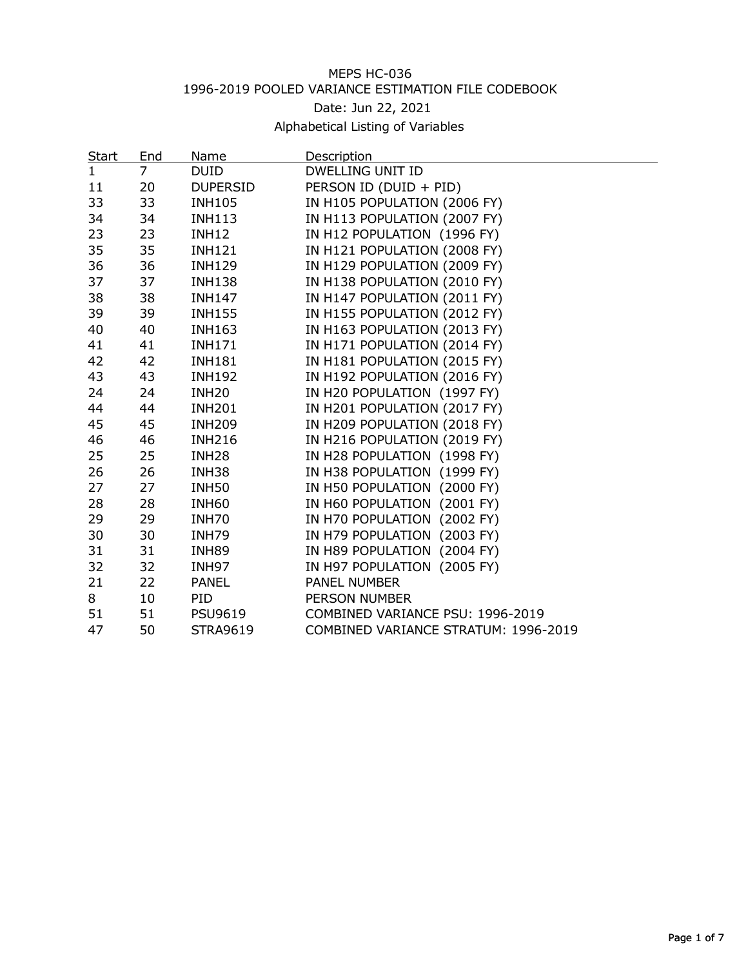## MEPS HC-036 1996-2019 POOLED VARIANCE ESTIMATION FILE CODEBOOK

## Date: Jun 22, 2021

## Alphabetical Listing of Variables

| <b>Start</b> | End             | Name              | Description                          |
|--------------|-----------------|-------------------|--------------------------------------|
| $\mathbf{1}$ | 7 <sup>7</sup>  | DUID              | DWELLING UNIT ID                     |
| 11           | 20              | <b>DUPERSID</b>   | PERSON ID (DUID + PID)               |
| 33           | 33              | INH105            | IN H105 POPULATION (2006 FY)         |
| 34           | 34              | <b>INH113</b>     | IN H113 POPULATION (2007 FY)         |
| 23           | 23              | INH12             | IN H12 POPULATION (1996 FY)          |
| 35           | 35              | <b>INH121</b>     | IN H121 POPULATION (2008 FY)         |
| 36           | 36              | <b>INH129</b>     | IN H129 POPULATION (2009 FY)         |
| 37           | 37              | INH138            | IN H138 POPULATION (2010 FY)         |
| 38           | 38              | <b>INH147</b>     | IN H147 POPULATION (2011 FY)         |
| 39           | 39              | <b>INH155</b>     | IN H155 POPULATION (2012 FY)         |
| 40           | 40              | INH163            | IN H163 POPULATION (2013 FY)         |
| 41           | 41              | INH171            | IN H171 POPULATION (2014 FY)         |
| 42           | 42              | INH181            | IN H181 POPULATION (2015 FY)         |
| 43           | 43              | INH192            | IN H192 POPULATION (2016 FY)         |
| 24           | 24              | INH20             | IN H20 POPULATION (1997 FY)          |
| 44           | 44              | INH201            | IN H201 POPULATION (2017 FY)         |
| 45           | 45              | INH209            | IN H209 POPULATION (2018 FY)         |
| 46           | 46              | INH216            | IN H216 POPULATION (2019 FY)         |
| 25           | 25 <sub>2</sub> | INH28             | IN H28 POPULATION (1998 FY)          |
| 26           | 26              | INH38             | IN H38 POPULATION (1999 FY)          |
| 27           | 27              | INH50             | IN H50 POPULATION (2000 FY)          |
| 28           | 28              | INH <sub>60</sub> | IN H60 POPULATION (2001 FY)          |
| 29           | 29              | INH70             | IN H70 POPULATION (2002 FY)          |
| 30           | 30              | INH79             | IN H79 POPULATION (2003 FY)          |
| 31           | 31              | INH89             | IN H89 POPULATION (2004 FY)          |
| 32           | 32              | INH97             | IN H97 POPULATION (2005 FY)          |
| 21           | 22              | <b>PANEL</b>      | <b>PANEL NUMBER</b>                  |
| 8            | 10              | PID               | PERSON NUMBER                        |
| 51           | 51              | <b>PSU9619</b>    | COMBINED VARIANCE PSU: 1996-2019     |
| 47           | 50              | <b>STRA9619</b>   | COMBINED VARIANCE STRATUM: 1996-2019 |
|              |                 |                   |                                      |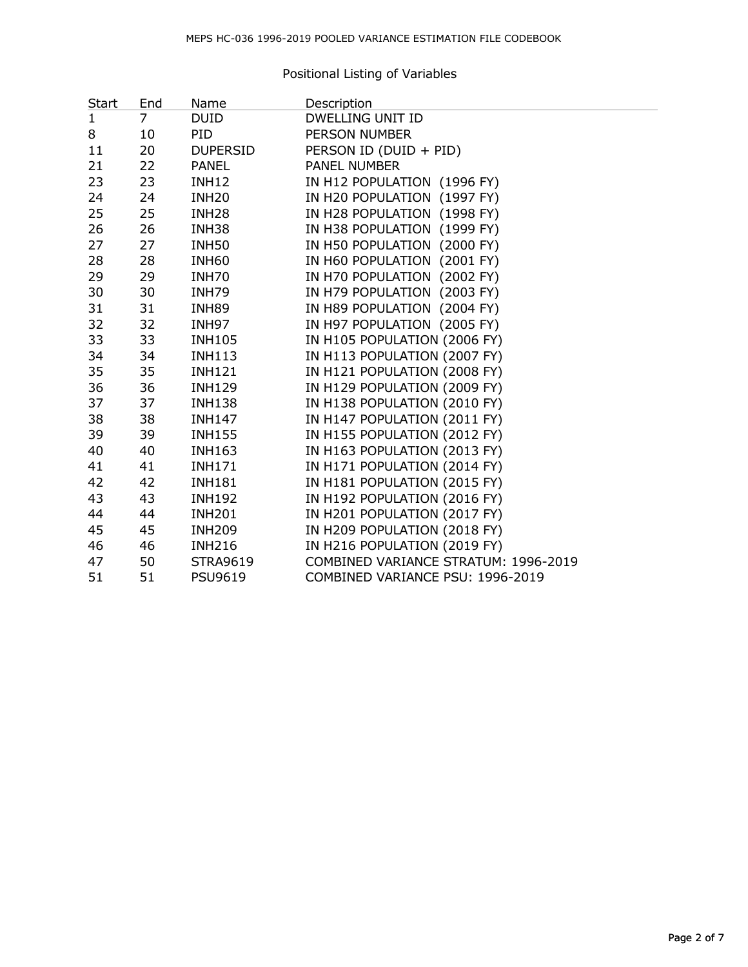Positional Listing of Variables

| Start        | End            | Name              | Description                          |
|--------------|----------------|-------------------|--------------------------------------|
| $\mathbf{1}$ | $\overline{7}$ | <b>DUID</b>       | DWELLING UNIT ID                     |
| 8            | 10             | PID               | PERSON NUMBER                        |
| 11           | 20             | <b>DUPERSID</b>   | PERSON ID (DUID + PID)               |
| 21           | 22             | <b>PANEL</b>      | <b>PANEL NUMBER</b>                  |
| 23           | 23             | INH12             | IN H12 POPULATION (1996 FY)          |
| 24           | 24             | INH <sub>20</sub> | IN H20 POPULATION (1997 FY)          |
| 25           | 25             | INH <sub>28</sub> | IN H28 POPULATION (1998 FY)          |
| 26           | 26             | INH38             | IN H38 POPULATION (1999 FY)          |
| 27           | 27             | INH50             | IN H50 POPULATION (2000 FY)          |
| 28           | 28             | INH <sub>60</sub> | IN H60 POPULATION (2001 FY)          |
| 29           | 29             | INH70             | IN H70 POPULATION (2002 FY)          |
| 30           | 30             | INH79             | IN H79 POPULATION (2003 FY)          |
| 31           | 31             | INH89             | IN H89 POPULATION (2004 FY)          |
| 32           | 32             | INH97             | IN H97 POPULATION (2005 FY)          |
| 33           | 33             | INH105            | IN H105 POPULATION (2006 FY)         |
| 34           | 34             | INH113            | IN H113 POPULATION (2007 FY)         |
| 35           | 35             | INH121            | IN H121 POPULATION (2008 FY)         |
| 36           | 36             | INH129            | IN H129 POPULATION (2009 FY)         |
| 37           | 37             | INH138            | IN H138 POPULATION (2010 FY)         |
| 38           | 38             | INH147            | IN H147 POPULATION (2011 FY)         |
| 39           | 39             | <b>INH155</b>     | IN H155 POPULATION (2012 FY)         |
| 40           | 40             | INH163            | IN H163 POPULATION (2013 FY)         |
| 41           | 41             | INH171            | IN H171 POPULATION (2014 FY)         |
| 42           | 42             | INH181            | IN H181 POPULATION (2015 FY)         |
| 43           | 43             | INH192            | IN H192 POPULATION (2016 FY)         |
| 44           | 44             | INH201            | IN H201 POPULATION (2017 FY)         |
| 45           | 45             | INH209            | IN H209 POPULATION (2018 FY)         |
| 46           | 46             | <b>INH216</b>     | IN H216 POPULATION (2019 FY)         |
| 47           | 50             | <b>STRA9619</b>   | COMBINED VARIANCE STRATUM: 1996-2019 |
| 51           | 51             | <b>PSU9619</b>    | COMBINED VARIANCE PSU: 1996-2019     |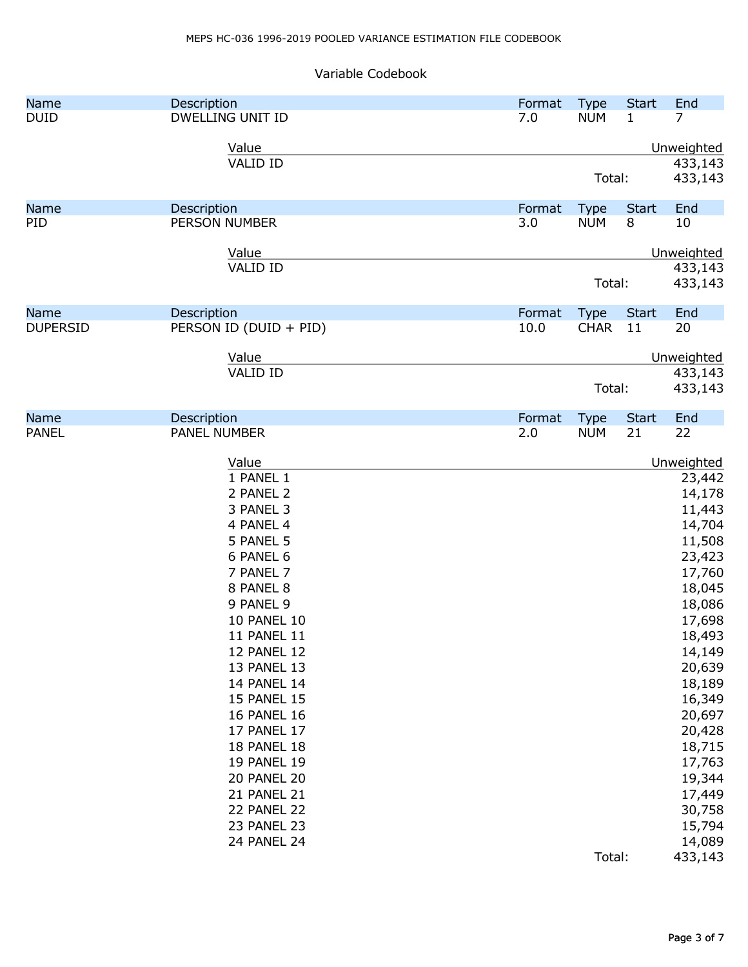## Variable Codebook

| <b>DUID</b><br>DWELLING UNIT ID<br>7.0<br><b>NUM</b><br>1<br>7<br>Value<br>Unweighted<br><b>VALID ID</b><br>433,143<br>Total:<br>433,143<br>End<br><b>Name</b><br>Description<br><b>Start</b><br>Format<br><b>Type</b><br>PID<br>PERSON NUMBER<br>3.0<br><b>NUM</b><br>8<br>10<br>Value<br>Unweighted<br><b>VALID ID</b><br>433,143<br>Total:<br>433,143<br>End<br>Description<br>Format<br><b>Type</b><br><b>Start</b><br><b>Name</b><br>PERSON ID (DUID + PID)<br><b>DUPERSID</b><br>10.0<br><b>CHAR</b><br>11<br>20<br>Value<br>Unweighted<br><b>VALID ID</b><br>433,143<br>Total:<br>433,143<br>End<br><b>Name</b><br>Description<br>Format<br><b>Start</b><br><b>Type</b><br>22<br><b>PANEL</b><br><b>PANEL NUMBER</b><br>2.0<br><b>NUM</b><br>21<br>Unweighted<br>Value<br>1 PANEL 1<br>23,442<br>2 PANEL 2<br>14,178<br>3 PANEL 3<br>11,443<br>4 PANEL 4<br>14,704<br>5 PANEL 5<br>11,508<br>6 PANEL 6<br>23,423<br>7 PANEL 7<br>17,760<br>18,045<br>8 PANEL 8<br>9 PANEL 9<br>18,086<br><b>10 PANEL 10</b><br>17,698<br><b>11 PANEL 11</b><br>18,493<br>14,149<br><b>12 PANEL 12</b><br>20,639<br>13 PANEL 13<br>18,189<br><b>14 PANEL 14</b><br>16,349<br><b>15 PANEL 15</b><br>20,697<br><b>16 PANEL 16</b><br><b>17 PANEL 17</b><br>20,428<br><b>18 PANEL 18</b><br>18,715<br><b>19 PANEL 19</b><br>17,763<br>19,344<br><b>20 PANEL 20</b><br><b>21 PANEL 21</b><br>17,449 | 30,758<br>22 PANEL 22<br>23 PANEL 23<br>15,794<br><b>24 PANEL 24</b><br>14,089 | <b>Name</b> | Description | Format | <b>Type</b> | <b>Start</b> | End     |
|---------------------------------------------------------------------------------------------------------------------------------------------------------------------------------------------------------------------------------------------------------------------------------------------------------------------------------------------------------------------------------------------------------------------------------------------------------------------------------------------------------------------------------------------------------------------------------------------------------------------------------------------------------------------------------------------------------------------------------------------------------------------------------------------------------------------------------------------------------------------------------------------------------------------------------------------------------------------------------------------------------------------------------------------------------------------------------------------------------------------------------------------------------------------------------------------------------------------------------------------------------------------------------------------------------------------------------------------------------------------------------------|--------------------------------------------------------------------------------|-------------|-------------|--------|-------------|--------------|---------|
|                                                                                                                                                                                                                                                                                                                                                                                                                                                                                                                                                                                                                                                                                                                                                                                                                                                                                                                                                                                                                                                                                                                                                                                                                                                                                                                                                                                       |                                                                                |             |             |        |             |              |         |
|                                                                                                                                                                                                                                                                                                                                                                                                                                                                                                                                                                                                                                                                                                                                                                                                                                                                                                                                                                                                                                                                                                                                                                                                                                                                                                                                                                                       |                                                                                |             |             |        |             |              |         |
|                                                                                                                                                                                                                                                                                                                                                                                                                                                                                                                                                                                                                                                                                                                                                                                                                                                                                                                                                                                                                                                                                                                                                                                                                                                                                                                                                                                       |                                                                                |             |             |        |             |              |         |
|                                                                                                                                                                                                                                                                                                                                                                                                                                                                                                                                                                                                                                                                                                                                                                                                                                                                                                                                                                                                                                                                                                                                                                                                                                                                                                                                                                                       |                                                                                |             |             |        |             |              |         |
|                                                                                                                                                                                                                                                                                                                                                                                                                                                                                                                                                                                                                                                                                                                                                                                                                                                                                                                                                                                                                                                                                                                                                                                                                                                                                                                                                                                       |                                                                                |             |             |        |             |              |         |
|                                                                                                                                                                                                                                                                                                                                                                                                                                                                                                                                                                                                                                                                                                                                                                                                                                                                                                                                                                                                                                                                                                                                                                                                                                                                                                                                                                                       |                                                                                |             |             |        |             |              |         |
|                                                                                                                                                                                                                                                                                                                                                                                                                                                                                                                                                                                                                                                                                                                                                                                                                                                                                                                                                                                                                                                                                                                                                                                                                                                                                                                                                                                       |                                                                                |             |             |        |             |              |         |
|                                                                                                                                                                                                                                                                                                                                                                                                                                                                                                                                                                                                                                                                                                                                                                                                                                                                                                                                                                                                                                                                                                                                                                                                                                                                                                                                                                                       |                                                                                |             |             |        |             |              |         |
|                                                                                                                                                                                                                                                                                                                                                                                                                                                                                                                                                                                                                                                                                                                                                                                                                                                                                                                                                                                                                                                                                                                                                                                                                                                                                                                                                                                       |                                                                                |             |             |        |             |              |         |
|                                                                                                                                                                                                                                                                                                                                                                                                                                                                                                                                                                                                                                                                                                                                                                                                                                                                                                                                                                                                                                                                                                                                                                                                                                                                                                                                                                                       |                                                                                |             |             |        |             |              |         |
|                                                                                                                                                                                                                                                                                                                                                                                                                                                                                                                                                                                                                                                                                                                                                                                                                                                                                                                                                                                                                                                                                                                                                                                                                                                                                                                                                                                       |                                                                                |             |             |        |             |              |         |
|                                                                                                                                                                                                                                                                                                                                                                                                                                                                                                                                                                                                                                                                                                                                                                                                                                                                                                                                                                                                                                                                                                                                                                                                                                                                                                                                                                                       |                                                                                |             |             |        |             |              |         |
|                                                                                                                                                                                                                                                                                                                                                                                                                                                                                                                                                                                                                                                                                                                                                                                                                                                                                                                                                                                                                                                                                                                                                                                                                                                                                                                                                                                       |                                                                                |             |             |        |             |              |         |
|                                                                                                                                                                                                                                                                                                                                                                                                                                                                                                                                                                                                                                                                                                                                                                                                                                                                                                                                                                                                                                                                                                                                                                                                                                                                                                                                                                                       |                                                                                |             |             |        |             |              |         |
|                                                                                                                                                                                                                                                                                                                                                                                                                                                                                                                                                                                                                                                                                                                                                                                                                                                                                                                                                                                                                                                                                                                                                                                                                                                                                                                                                                                       |                                                                                |             |             |        |             |              |         |
|                                                                                                                                                                                                                                                                                                                                                                                                                                                                                                                                                                                                                                                                                                                                                                                                                                                                                                                                                                                                                                                                                                                                                                                                                                                                                                                                                                                       |                                                                                |             |             |        |             |              |         |
|                                                                                                                                                                                                                                                                                                                                                                                                                                                                                                                                                                                                                                                                                                                                                                                                                                                                                                                                                                                                                                                                                                                                                                                                                                                                                                                                                                                       |                                                                                |             |             |        |             |              |         |
|                                                                                                                                                                                                                                                                                                                                                                                                                                                                                                                                                                                                                                                                                                                                                                                                                                                                                                                                                                                                                                                                                                                                                                                                                                                                                                                                                                                       |                                                                                |             |             |        |             |              |         |
|                                                                                                                                                                                                                                                                                                                                                                                                                                                                                                                                                                                                                                                                                                                                                                                                                                                                                                                                                                                                                                                                                                                                                                                                                                                                                                                                                                                       |                                                                                |             |             |        |             |              |         |
|                                                                                                                                                                                                                                                                                                                                                                                                                                                                                                                                                                                                                                                                                                                                                                                                                                                                                                                                                                                                                                                                                                                                                                                                                                                                                                                                                                                       |                                                                                |             |             |        |             |              |         |
|                                                                                                                                                                                                                                                                                                                                                                                                                                                                                                                                                                                                                                                                                                                                                                                                                                                                                                                                                                                                                                                                                                                                                                                                                                                                                                                                                                                       |                                                                                |             |             |        |             |              |         |
|                                                                                                                                                                                                                                                                                                                                                                                                                                                                                                                                                                                                                                                                                                                                                                                                                                                                                                                                                                                                                                                                                                                                                                                                                                                                                                                                                                                       |                                                                                |             |             |        |             |              |         |
|                                                                                                                                                                                                                                                                                                                                                                                                                                                                                                                                                                                                                                                                                                                                                                                                                                                                                                                                                                                                                                                                                                                                                                                                                                                                                                                                                                                       |                                                                                |             |             |        |             |              |         |
|                                                                                                                                                                                                                                                                                                                                                                                                                                                                                                                                                                                                                                                                                                                                                                                                                                                                                                                                                                                                                                                                                                                                                                                                                                                                                                                                                                                       |                                                                                |             |             |        |             |              |         |
|                                                                                                                                                                                                                                                                                                                                                                                                                                                                                                                                                                                                                                                                                                                                                                                                                                                                                                                                                                                                                                                                                                                                                                                                                                                                                                                                                                                       |                                                                                |             |             |        |             |              |         |
|                                                                                                                                                                                                                                                                                                                                                                                                                                                                                                                                                                                                                                                                                                                                                                                                                                                                                                                                                                                                                                                                                                                                                                                                                                                                                                                                                                                       |                                                                                |             |             |        |             |              |         |
|                                                                                                                                                                                                                                                                                                                                                                                                                                                                                                                                                                                                                                                                                                                                                                                                                                                                                                                                                                                                                                                                                                                                                                                                                                                                                                                                                                                       |                                                                                |             |             |        |             |              |         |
|                                                                                                                                                                                                                                                                                                                                                                                                                                                                                                                                                                                                                                                                                                                                                                                                                                                                                                                                                                                                                                                                                                                                                                                                                                                                                                                                                                                       |                                                                                |             |             |        |             |              |         |
|                                                                                                                                                                                                                                                                                                                                                                                                                                                                                                                                                                                                                                                                                                                                                                                                                                                                                                                                                                                                                                                                                                                                                                                                                                                                                                                                                                                       |                                                                                |             |             |        |             |              |         |
|                                                                                                                                                                                                                                                                                                                                                                                                                                                                                                                                                                                                                                                                                                                                                                                                                                                                                                                                                                                                                                                                                                                                                                                                                                                                                                                                                                                       |                                                                                |             |             |        |             |              |         |
|                                                                                                                                                                                                                                                                                                                                                                                                                                                                                                                                                                                                                                                                                                                                                                                                                                                                                                                                                                                                                                                                                                                                                                                                                                                                                                                                                                                       |                                                                                |             |             |        |             |              |         |
|                                                                                                                                                                                                                                                                                                                                                                                                                                                                                                                                                                                                                                                                                                                                                                                                                                                                                                                                                                                                                                                                                                                                                                                                                                                                                                                                                                                       |                                                                                |             |             |        |             |              |         |
|                                                                                                                                                                                                                                                                                                                                                                                                                                                                                                                                                                                                                                                                                                                                                                                                                                                                                                                                                                                                                                                                                                                                                                                                                                                                                                                                                                                       |                                                                                |             |             |        |             |              |         |
|                                                                                                                                                                                                                                                                                                                                                                                                                                                                                                                                                                                                                                                                                                                                                                                                                                                                                                                                                                                                                                                                                                                                                                                                                                                                                                                                                                                       |                                                                                |             |             |        |             |              |         |
|                                                                                                                                                                                                                                                                                                                                                                                                                                                                                                                                                                                                                                                                                                                                                                                                                                                                                                                                                                                                                                                                                                                                                                                                                                                                                                                                                                                       |                                                                                |             |             |        |             |              |         |
|                                                                                                                                                                                                                                                                                                                                                                                                                                                                                                                                                                                                                                                                                                                                                                                                                                                                                                                                                                                                                                                                                                                                                                                                                                                                                                                                                                                       |                                                                                |             |             |        |             |              |         |
|                                                                                                                                                                                                                                                                                                                                                                                                                                                                                                                                                                                                                                                                                                                                                                                                                                                                                                                                                                                                                                                                                                                                                                                                                                                                                                                                                                                       |                                                                                |             |             |        |             |              |         |
|                                                                                                                                                                                                                                                                                                                                                                                                                                                                                                                                                                                                                                                                                                                                                                                                                                                                                                                                                                                                                                                                                                                                                                                                                                                                                                                                                                                       |                                                                                |             |             |        |             |              |         |
|                                                                                                                                                                                                                                                                                                                                                                                                                                                                                                                                                                                                                                                                                                                                                                                                                                                                                                                                                                                                                                                                                                                                                                                                                                                                                                                                                                                       |                                                                                |             |             |        |             |              |         |
|                                                                                                                                                                                                                                                                                                                                                                                                                                                                                                                                                                                                                                                                                                                                                                                                                                                                                                                                                                                                                                                                                                                                                                                                                                                                                                                                                                                       |                                                                                |             |             |        |             |              |         |
|                                                                                                                                                                                                                                                                                                                                                                                                                                                                                                                                                                                                                                                                                                                                                                                                                                                                                                                                                                                                                                                                                                                                                                                                                                                                                                                                                                                       |                                                                                |             |             |        |             |              |         |
|                                                                                                                                                                                                                                                                                                                                                                                                                                                                                                                                                                                                                                                                                                                                                                                                                                                                                                                                                                                                                                                                                                                                                                                                                                                                                                                                                                                       |                                                                                |             |             |        |             |              |         |
|                                                                                                                                                                                                                                                                                                                                                                                                                                                                                                                                                                                                                                                                                                                                                                                                                                                                                                                                                                                                                                                                                                                                                                                                                                                                                                                                                                                       |                                                                                |             |             |        |             |              |         |
|                                                                                                                                                                                                                                                                                                                                                                                                                                                                                                                                                                                                                                                                                                                                                                                                                                                                                                                                                                                                                                                                                                                                                                                                                                                                                                                                                                                       |                                                                                |             |             |        |             |              |         |
|                                                                                                                                                                                                                                                                                                                                                                                                                                                                                                                                                                                                                                                                                                                                                                                                                                                                                                                                                                                                                                                                                                                                                                                                                                                                                                                                                                                       |                                                                                |             |             |        |             |              |         |
|                                                                                                                                                                                                                                                                                                                                                                                                                                                                                                                                                                                                                                                                                                                                                                                                                                                                                                                                                                                                                                                                                                                                                                                                                                                                                                                                                                                       |                                                                                |             |             |        | Total:      |              | 433,143 |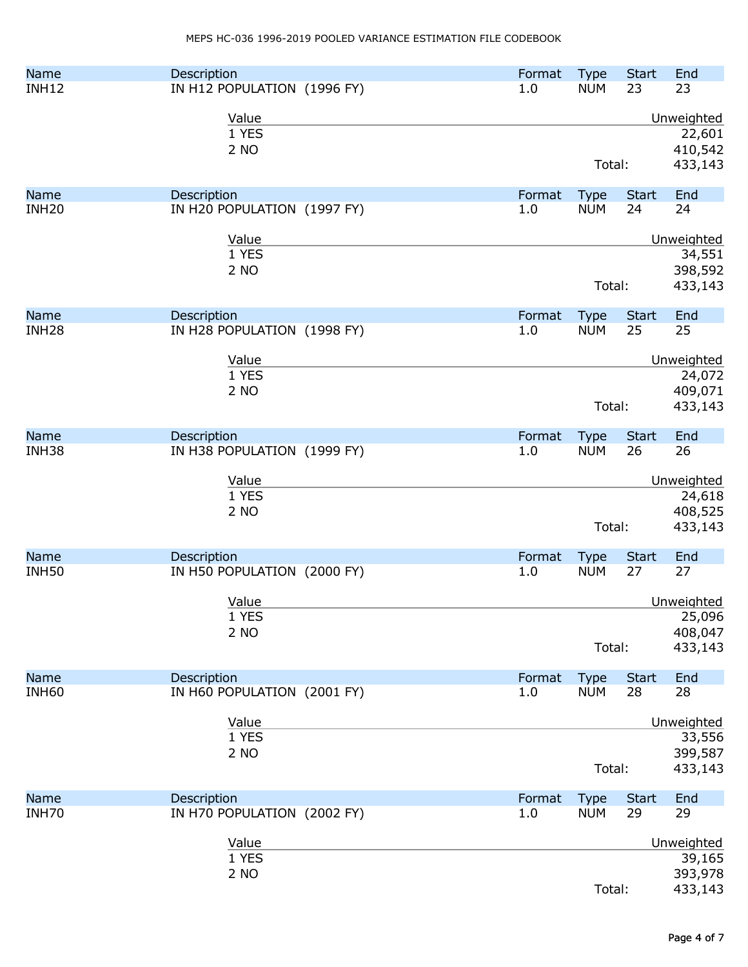| <b>Name</b>       | Description                 |  | Format | <b>Type</b> | <b>Start</b> | End        |
|-------------------|-----------------------------|--|--------|-------------|--------------|------------|
| <b>INH12</b>      | IN H12 POPULATION (1996 FY) |  | 1.0    | <b>NUM</b>  | 23           | 23         |
|                   | Value                       |  |        |             | Unweighted   |            |
|                   | 1 YES                       |  |        |             |              | 22,601     |
|                   | 2 NO                        |  |        |             |              | 410,542    |
|                   |                             |  |        | Total:      |              | 433,143    |
| <b>Name</b>       | Description                 |  | Format | <b>Type</b> | <b>Start</b> | End        |
| <b>INH20</b>      | IN H20 POPULATION (1997 FY) |  | 1.0    | <b>NUM</b>  | 24           | 24         |
|                   |                             |  |        |             |              |            |
|                   | Value                       |  |        |             |              | Unweighted |
|                   | 1 YES                       |  |        |             |              | 34,551     |
|                   | 2 NO                        |  |        |             |              | 398,592    |
|                   |                             |  |        | Total:      |              | 433,143    |
| <b>Name</b>       | Description                 |  | Format | <b>Type</b> | <b>Start</b> | End        |
| INH <sub>28</sub> | IN H28 POPULATION (1998 FY) |  | 1.0    | <b>NUM</b>  | 25           | 25         |
|                   | Value                       |  |        |             |              | Unweighted |
|                   | 1 YES                       |  |        |             |              | 24,072     |
|                   | 2 NO                        |  |        |             |              | 409,071    |
|                   |                             |  |        | Total:      |              | 433,143    |
| <b>Name</b>       | Description                 |  | Format | <b>Type</b> | <b>Start</b> | End        |
| INH <sub>38</sub> | IN H38 POPULATION (1999 FY) |  | 1.0    | <b>NUM</b>  | 26           | 26         |
|                   |                             |  |        |             |              |            |
|                   | Value                       |  |        |             |              | Unweighted |
|                   | 1 YES                       |  |        |             |              | 24,618     |
|                   | 2 NO                        |  |        |             |              | 408,525    |
|                   |                             |  |        | Total:      |              | 433,143    |
| <b>Name</b>       | Description                 |  | Format | <b>Type</b> | <b>Start</b> | End        |
| <b>INH50</b>      | IN H50 POPULATION (2000 FY) |  | 1.0    | <b>NUM</b>  | 27           | 27         |
|                   |                             |  |        |             |              |            |
|                   | Value                       |  |        |             |              | Unweighted |
|                   | 1 YES                       |  |        |             |              | 25,096     |
|                   | 2 NO                        |  |        |             |              | 408,047    |
|                   |                             |  |        | Total:      |              | 433,143    |
| <b>Name</b>       | Description                 |  | Format | <b>Type</b> | <b>Start</b> | End        |
| <b>INH60</b>      | IN H60 POPULATION (2001 FY) |  | 1.0    | <b>NUM</b>  | 28           | 28         |
|                   | Value                       |  |        |             |              | Unweighted |
|                   | 1 YES                       |  |        |             |              | 33,556     |
|                   | 2 NO                        |  |        |             |              | 399,587    |
|                   |                             |  |        | Total:      |              | 433,143    |
| <b>Name</b>       | Description                 |  | Format | <b>Type</b> | <b>Start</b> | End        |
| <b>INH70</b>      | IN H70 POPULATION (2002 FY) |  | 1.0    | <b>NUM</b>  | 29           | 29         |
|                   | Value                       |  |        |             |              | Unweighted |
|                   | 1 YES                       |  |        |             |              | 39,165     |
|                   | 2 NO                        |  |        |             |              | 393,978    |
|                   |                             |  |        | Total:      |              | 433,143    |
|                   |                             |  |        |             |              |            |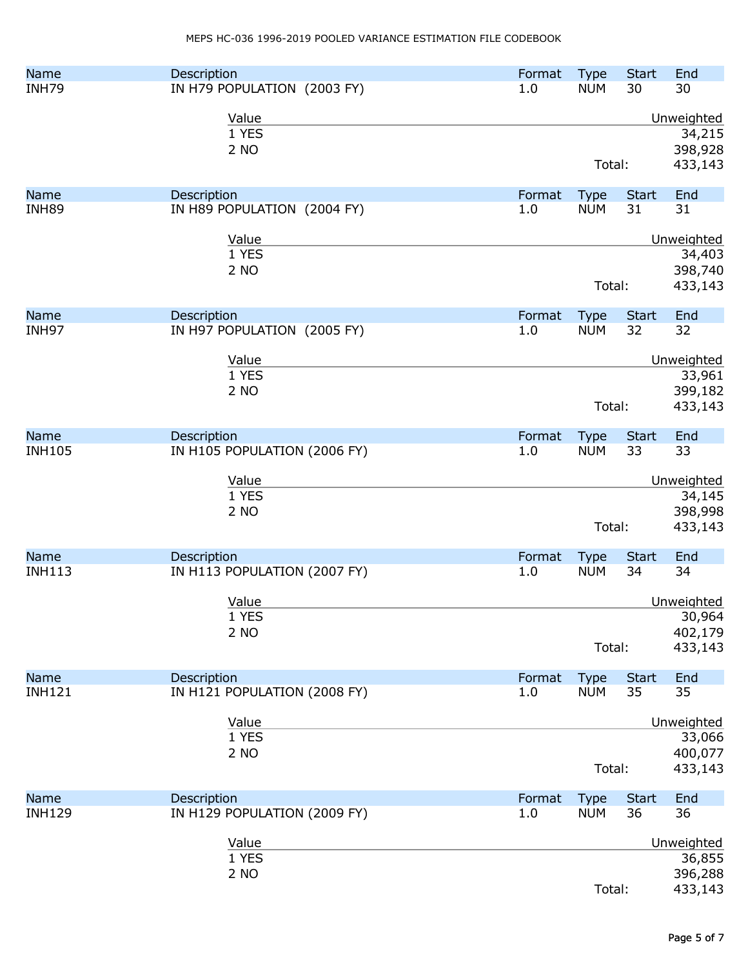| <b>Name</b>   | Description                  | Format | <b>Type</b> | <b>Start</b> | End        |
|---------------|------------------------------|--------|-------------|--------------|------------|
| INH79         | IN H79 POPULATION (2003 FY)  | 1.0    | <b>NUM</b>  | 30           | 30         |
|               | Value                        |        |             |              | Unweighted |
|               | 1 YES                        |        |             |              | 34,215     |
|               |                              |        |             |              |            |
|               | 2 NO                         |        |             |              | 398,928    |
|               |                              |        | Total:      |              | 433,143    |
| <b>Name</b>   | Description                  | Format | <b>Type</b> | <b>Start</b> | End        |
| <b>INH89</b>  | IN H89 POPULATION (2004 FY)  | 1.0    | <b>NUM</b>  | 31           | 31         |
|               |                              |        |             |              |            |
|               | Value                        |        |             |              | Unweighted |
|               | 1 YES                        |        |             |              | 34,403     |
|               | 2 NO                         |        |             |              | 398,740    |
|               |                              |        | Total:      |              | 433,143    |
|               |                              |        |             |              |            |
| <b>Name</b>   | Description                  | Format | <b>Type</b> | <b>Start</b> | End        |
| INH97         | IN H97 POPULATION (2005 FY)  | 1.0    | <b>NUM</b>  | 32           | 32         |
|               |                              |        |             |              |            |
|               | Value<br>1 YES               |        |             |              | Unweighted |
|               |                              |        |             |              | 33,961     |
|               | 2 NO                         |        |             |              | 399,182    |
|               |                              |        | Total:      |              | 433,143    |
| <b>Name</b>   | Description                  | Format | <b>Type</b> | <b>Start</b> | End        |
| <b>INH105</b> | IN H105 POPULATION (2006 FY) | 1.0    | <b>NUM</b>  | 33           | 33         |
|               |                              |        |             |              |            |
|               | Value                        |        |             |              | Unweighted |
|               | 1 YES                        |        |             |              | 34,145     |
|               | 2 NO                         |        |             |              | 398,998    |
|               |                              |        | Total:      |              | 433,143    |
|               |                              |        |             |              |            |
| <b>Name</b>   | Description                  | Format | <b>Type</b> | <b>Start</b> | End        |
| <b>INH113</b> | IN H113 POPULATION (2007 FY) | 1.0    | <b>NUM</b>  | 34           | 34         |
|               | Value                        |        |             |              |            |
|               | 1 YES                        |        |             |              | Unweighted |
|               |                              |        |             |              | 30,964     |
|               | 2 NO                         |        |             |              | 402,179    |
|               |                              |        | Total:      |              | 433,143    |
| <b>Name</b>   | Description                  | Format | <b>Type</b> | <b>Start</b> | End        |
| <b>INH121</b> | IN H121 POPULATION (2008 FY) | 1.0    | <b>NUM</b>  | 35           | 35         |
|               |                              |        |             |              |            |
|               | Value                        |        |             |              | Unweighted |
|               | 1 YES                        |        |             |              | 33,066     |
|               | 2 NO                         |        |             |              | 400,077    |
|               |                              |        | Total:      |              | 433,143    |
|               |                              |        |             |              |            |
| <b>Name</b>   | Description                  | Format | <b>Type</b> | <b>Start</b> | End        |
| <b>INH129</b> | IN H129 POPULATION (2009 FY) | 1.0    | <b>NUM</b>  | 36           | 36         |
|               | Value                        |        |             |              | Unweighted |
|               | 1 YES                        |        |             |              | 36,855     |
|               | 2 NO                         |        |             |              | 396,288    |
|               |                              |        | Total:      |              | 433,143    |
|               |                              |        |             |              |            |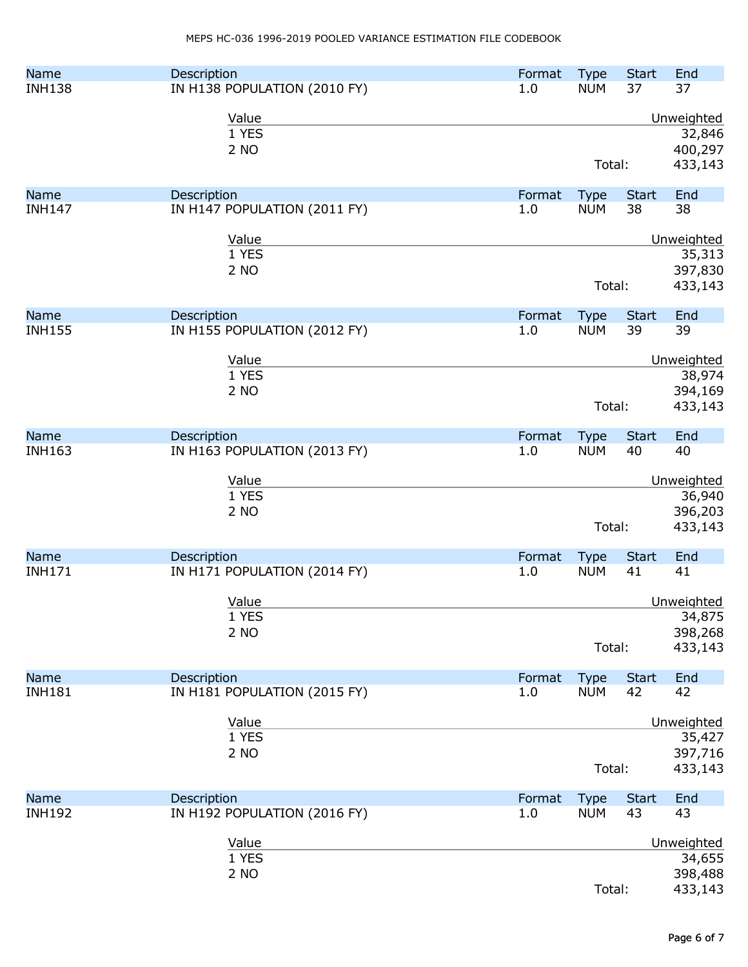| <b>Name</b>   | Description                  | Format | <b>Type</b> | <b>Start</b> | End                  |
|---------------|------------------------------|--------|-------------|--------------|----------------------|
| <b>INH138</b> | IN H138 POPULATION (2010 FY) | 1.0    | <b>NUM</b>  | 37           | 37                   |
|               | Value                        |        |             |              | Unweighted           |
|               | 1 YES                        |        |             |              | 32,846               |
|               | 2 NO                         |        |             |              | 400,297              |
|               |                              |        | Total:      |              | 433,143              |
| <b>Name</b>   | Description                  | Format | <b>Type</b> | <b>Start</b> | End                  |
| <b>INH147</b> | IN H147 POPULATION (2011 FY) | 1.0    | <b>NUM</b>  | 38           | 38                   |
|               |                              |        |             |              |                      |
|               | Value                        |        |             |              | Unweighted           |
|               | 1 YES                        |        |             |              | 35,313               |
|               | 2 NO                         |        |             |              | 397,830              |
|               |                              |        | Total:      |              | 433,143              |
|               |                              |        |             |              |                      |
| <b>Name</b>   | Description                  | Format | <b>Type</b> | <b>Start</b> | End                  |
| <b>INH155</b> | IN H155 POPULATION (2012 FY) | 1.0    | <b>NUM</b>  | 39           | 39                   |
|               | Value                        |        |             |              | Unweighted           |
|               | 1 YES                        |        |             |              | 38,974               |
|               | 2 NO                         |        |             |              | 394,169              |
|               |                              |        | Total:      |              | 433,143              |
|               |                              |        |             |              |                      |
| <b>Name</b>   | Description                  | Format | <b>Type</b> | <b>Start</b> | End                  |
| <b>INH163</b> | IN H163 POPULATION (2013 FY) | 1.0    | <b>NUM</b>  | 40           | 40                   |
|               | Value                        |        |             |              | Unweighted           |
|               | 1 YES                        |        |             |              | 36,940               |
|               | 2 NO                         |        |             |              | 396,203              |
|               |                              |        | Total:      |              | 433,143              |
|               |                              |        |             |              |                      |
| <b>Name</b>   | Description                  | Format | <b>Type</b> | <b>Start</b> | End                  |
| <b>INH171</b> | IN H171 POPULATION (2014 FY) | 1.0    | <b>NUM</b>  | 41           | 41                   |
|               | Value                        |        |             |              |                      |
|               | 1 YES                        |        |             |              | Unweighted<br>34,875 |
|               | 2 NO                         |        |             |              | 398,268              |
|               |                              |        | Total:      |              | 433,143              |
|               |                              |        |             |              |                      |
| <b>Name</b>   | Description                  | Format | <b>Type</b> | <b>Start</b> | End                  |
| <b>INH181</b> | IN H181 POPULATION (2015 FY) | 1.0    | <b>NUM</b>  | 42           | 42                   |
|               |                              |        |             |              |                      |
|               | Value<br>1 YES               |        |             |              | Unweighted<br>35,427 |
|               | 2 NO                         |        |             |              | 397,716              |
|               |                              |        | Total:      |              | 433,143              |
|               |                              |        |             |              |                      |
| <b>Name</b>   | Description                  | Format | <b>Type</b> | <b>Start</b> | End                  |
| <b>INH192</b> | IN H192 POPULATION (2016 FY) | 1.0    | <b>NUM</b>  | 43           | 43                   |
|               |                              |        |             |              |                      |
|               | Value<br>1 YES               |        |             |              | Unweighted<br>34,655 |
|               | 2 NO                         |        |             |              | 398,488              |
|               |                              |        | Total:      |              | 433,143              |
|               |                              |        |             |              |                      |